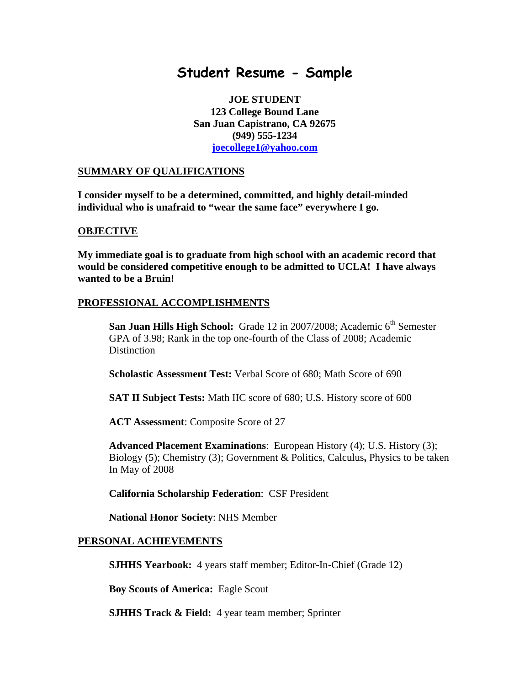# **Student Resume - Sample**

**JOE STUDENT 123 College Bound Lane San Juan Capistrano, CA 92675 (949) 555-1234 [joecollege1@yahoo.com](mailto:joecollege1@yahoo.com)**

#### **SUMMARY OF QUALIFICATIONS**

**I consider myself to be a determined, committed, and highly detail-minded individual who is unafraid to "wear the same face" everywhere I go.** 

#### **OBJECTIVE**

**My immediate goal is to graduate from high school with an academic record that would be considered competitive enough to be admitted to UCLA! I have always wanted to be a Bruin!** 

### **PROFESSIONAL ACCOMPLISHMENTS**

**San Juan Hills High School:** Grade 12 in 2007/2008; Academic 6<sup>th</sup> Semester GPA of 3.98; Rank in the top one-fourth of the Class of 2008; Academic **Distinction** 

 **Scholastic Assessment Test:** Verbal Score of 680; Math Score of 690

 **SAT II Subject Tests:** Math IIC score of 680; U.S. History score of 600

**ACT Assessment**: Composite Score of 27

**Advanced Placement Examinations**: European History (4); U.S. History (3); Biology (5); Chemistry (3); Government & Politics, Calculus**,** Physics to be taken In May of 2008

**California Scholarship Federation**: CSF President

**National Honor Society**: NHS Member

#### **PERSONAL ACHIEVEMENTS**

**SJHHS Yearbook:** 4 years staff member; Editor-In-Chief (Grade 12)

 **Boy Scouts of America:** Eagle Scout

**SJHHS Track & Field:** 4 year team member; Sprinter